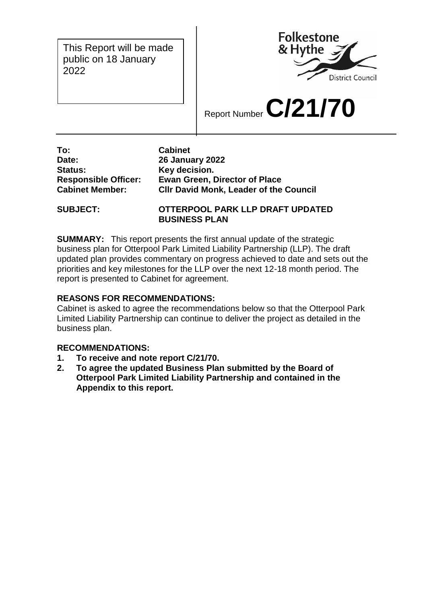This Report will be made public on 18 January 2022



Report Number **C/21/70**

**To: Cabinet Date: 26 January 2022 Status: Key decision.** 

**Responsible Officer: Ewan Green, Director of Place Cabinet Member: Cllr David Monk, Leader of the Council**

**SUBJECT: OTTERPOOL PARK LLP DRAFT UPDATED BUSINESS PLAN** 

**SUMMARY:** This report presents the first annual update of the strategic business plan for Otterpool Park Limited Liability Partnership (LLP). The draft updated plan provides commentary on progress achieved to date and sets out the priorities and key milestones for the LLP over the next 12-18 month period. The report is presented to Cabinet for agreement.

# **REASONS FOR RECOMMENDATIONS:**

Cabinet is asked to agree the recommendations below so that the Otterpool Park Limited Liability Partnership can continue to deliver the project as detailed in the business plan.

# **RECOMMENDATIONS:**

- **1. To receive and note report C/21/70.**
- **2. To agree the updated Business Plan submitted by the Board of Otterpool Park Limited Liability Partnership and contained in the Appendix to this report.**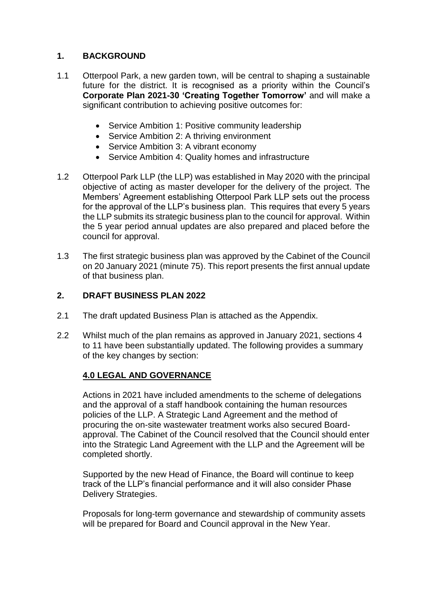# **1. BACKGROUND**

- 1.1 Otterpool Park, a new garden town, will be central to shaping a sustainable future for the district. It is recognised as a priority within the Council's **Corporate Plan 2021-30 'Creating Together Tomorrow'** and will make a significant contribution to achieving positive outcomes for:
	- Service Ambition 1: Positive community leadership
	- Service Ambition 2: A thriving environment
	- Service Ambition 3: A vibrant economy
	- Service Ambition 4: Quality homes and infrastructure
- 1.2 Otterpool Park LLP (the LLP) was established in May 2020 with the principal objective of acting as master developer for the delivery of the project. The Members' Agreement establishing Otterpool Park LLP sets out the process for the approval of the LLP's business plan. This requires that every 5 years the LLP submits its strategic business plan to the council for approval. Within the 5 year period annual updates are also prepared and placed before the council for approval.
- 1.3 The first strategic business plan was approved by the Cabinet of the Council on 20 January 2021 (minute 75). This report presents the first annual update of that business plan.

### **2. DRAFT BUSINESS PLAN 2022**

- 2.1 The draft updated Business Plan is attached as the Appendix.
- 2.2 Whilst much of the plan remains as approved in January 2021, sections 4 to 11 have been substantially updated. The following provides a summary of the key changes by section:

# **4.0 LEGAL AND GOVERNANCE**

Actions in 2021 have included amendments to the scheme of delegations and the approval of a staff handbook containing the human resources policies of the LLP. A Strategic Land Agreement and the method of procuring the on-site wastewater treatment works also secured Boardapproval. The Cabinet of the Council resolved that the Council should enter into the Strategic Land Agreement with the LLP and the Agreement will be completed shortly.

Supported by the new Head of Finance, the Board will continue to keep track of the LLP's financial performance and it will also consider Phase Delivery Strategies.

Proposals for long-term governance and stewardship of community assets will be prepared for Board and Council approval in the New Year.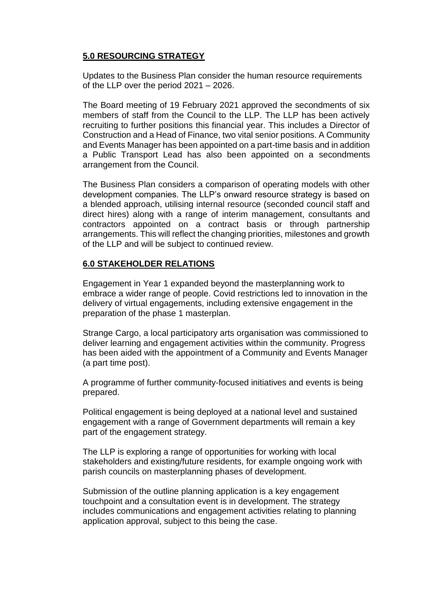# **5.0 RESOURCING STRATEGY**

Updates to the Business Plan consider the human resource requirements of the LLP over the period 2021 – 2026.

The Board meeting of 19 February 2021 approved the secondments of six members of staff from the Council to the LLP. The LLP has been actively recruiting to further positions this financial year. This includes a Director of Construction and a Head of Finance, two vital senior positions. A Community and Events Manager has been appointed on a part-time basis and in addition a Public Transport Lead has also been appointed on a secondments arrangement from the Council.

The Business Plan considers a comparison of operating models with other development companies. The LLP's onward resource strategy is based on a blended approach, utilising internal resource (seconded council staff and direct hires) along with a range of interim management, consultants and contractors appointed on a contract basis or through partnership arrangements. This will reflect the changing priorities, milestones and growth of the LLP and will be subject to continued review.

### **6.0 STAKEHOLDER RELATIONS**

Engagement in Year 1 expanded beyond the masterplanning work to embrace a wider range of people. Covid restrictions led to innovation in the delivery of virtual engagements, including extensive engagement in the preparation of the phase 1 masterplan.

Strange Cargo, a local participatory arts organisation was commissioned to deliver learning and engagement activities within the community. Progress has been aided with the appointment of a Community and Events Manager (a part time post).

A programme of further community-focused initiatives and events is being prepared.

Political engagement is being deployed at a national level and sustained engagement with a range of Government departments will remain a key part of the engagement strategy.

The LLP is exploring a range of opportunities for working with local stakeholders and existing/future residents, for example ongoing work with parish councils on masterplanning phases of development.

Submission of the outline planning application is a key engagement touchpoint and a consultation event is in development. The strategy includes communications and engagement activities relating to planning application approval, subject to this being the case.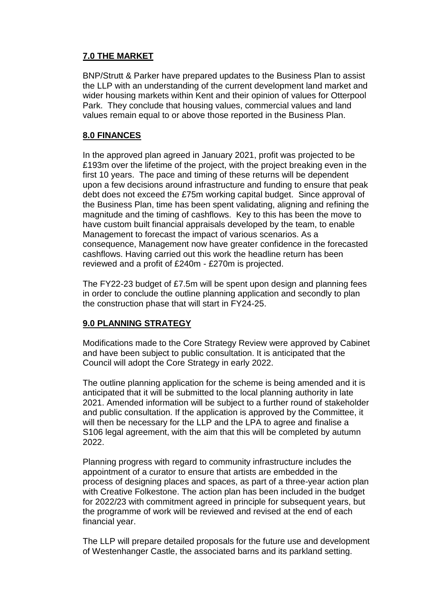# **7.0 THE MARKET**

BNP/Strutt & Parker have prepared updates to the Business Plan to assist the LLP with an understanding of the current development land market and wider housing markets within Kent and their opinion of values for Otterpool Park. They conclude that housing values, commercial values and land values remain equal to or above those reported in the Business Plan.

# **8.0 FINANCES**

In the approved plan agreed in January 2021, profit was projected to be £193m over the lifetime of the project, with the project breaking even in the first 10 years. The pace and timing of these returns will be dependent upon a few decisions around infrastructure and funding to ensure that peak debt does not exceed the £75m working capital budget. Since approval of the Business Plan, time has been spent validating, aligning and refining the magnitude and the timing of cashflows. Key to this has been the move to have custom built financial appraisals developed by the team, to enable Management to forecast the impact of various scenarios. As a consequence, Management now have greater confidence in the forecasted cashflows. Having carried out this work the headline return has been reviewed and a profit of £240m - £270m is projected.

The FY22-23 budget of £7.5m will be spent upon design and planning fees in order to conclude the outline planning application and secondly to plan the construction phase that will start in FY24-25.

# **9.0 PLANNING STRATEGY**

Modifications made to the Core Strategy Review were approved by Cabinet and have been subject to public consultation. It is anticipated that the Council will adopt the Core Strategy in early 2022.

The outline planning application for the scheme is being amended and it is anticipated that it will be submitted to the local planning authority in late 2021. Amended information will be subject to a further round of stakeholder and public consultation. If the application is approved by the Committee, it will then be necessary for the LLP and the LPA to agree and finalise a S106 legal agreement, with the aim that this will be completed by autumn 2022.

Planning progress with regard to community infrastructure includes the appointment of a curator to ensure that artists are embedded in the process of designing places and spaces, as part of a three-year action plan with Creative Folkestone. The action plan has been included in the budget for 2022/23 with commitment agreed in principle for subsequent years, but the programme of work will be reviewed and revised at the end of each financial year.

The LLP will prepare detailed proposals for the future use and development of Westenhanger Castle, the associated barns and its parkland setting.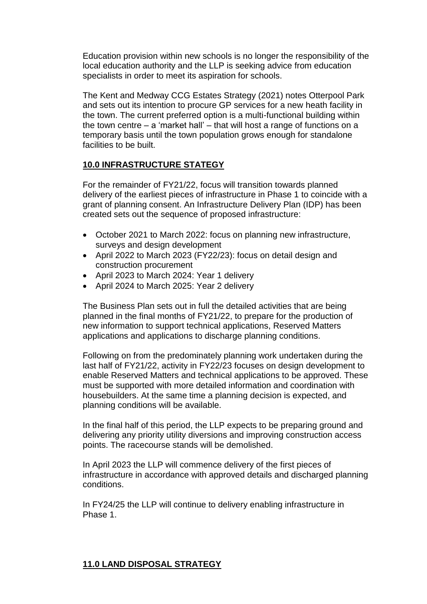Education provision within new schools is no longer the responsibility of the local education authority and the LLP is seeking advice from education specialists in order to meet its aspiration for schools.

The Kent and Medway CCG Estates Strategy (2021) notes Otterpool Park and sets out its intention to procure GP services for a new heath facility in the town. The current preferred option is a multi-functional building within the town centre – a 'market hall' – that will host a range of functions on a temporary basis until the town population grows enough for standalone facilities to be built.

#### **10.0 INFRASTRUCTURE STATEGY**

For the remainder of FY21/22, focus will transition towards planned delivery of the earliest pieces of infrastructure in Phase 1 to coincide with a grant of planning consent. An Infrastructure Delivery Plan (IDP) has been created sets out the sequence of proposed infrastructure:

- October 2021 to March 2022: focus on planning new infrastructure, surveys and design development
- April 2022 to March 2023 (FY22/23): focus on detail design and construction procurement
- April 2023 to March 2024: Year 1 delivery
- April 2024 to March 2025: Year 2 delivery

The Business Plan sets out in full the detailed activities that are being planned in the final months of FY21/22, to prepare for the production of new information to support technical applications, Reserved Matters applications and applications to discharge planning conditions.

Following on from the predominately planning work undertaken during the last half of FY21/22, activity in FY22/23 focuses on design development to enable Reserved Matters and technical applications to be approved. These must be supported with more detailed information and coordination with housebuilders. At the same time a planning decision is expected, and planning conditions will be available.

In the final half of this period, the LLP expects to be preparing ground and delivering any priority utility diversions and improving construction access points. The racecourse stands will be demolished.

In April 2023 the LLP will commence delivery of the first pieces of infrastructure in accordance with approved details and discharged planning conditions.

In FY24/25 the LLP will continue to delivery enabling infrastructure in Phase 1.

# **11.0 LAND DISPOSAL STRATEGY**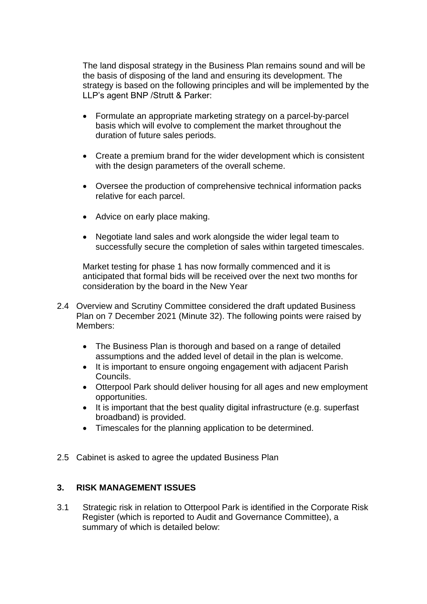The land disposal strategy in the Business Plan remains sound and will be the basis of disposing of the land and ensuring its development. The strategy is based on the following principles and will be implemented by the LLP's agent BNP /Strutt & Parker:

- Formulate an appropriate marketing strategy on a parcel-by-parcel basis which will evolve to complement the market throughout the duration of future sales periods.
- Create a premium brand for the wider development which is consistent with the design parameters of the overall scheme.
- Oversee the production of comprehensive technical information packs relative for each parcel.
- Advice on early place making.
- Negotiate land sales and work alongside the wider legal team to successfully secure the completion of sales within targeted timescales.

Market testing for phase 1 has now formally commenced and it is anticipated that formal bids will be received over the next two months for consideration by the board in the New Year

- 2.4 Overview and Scrutiny Committee considered the draft updated Business Plan on 7 December 2021 (Minute 32). The following points were raised by Members:
	- The Business Plan is thorough and based on a range of detailed assumptions and the added level of detail in the plan is welcome.
	- It is important to ensure ongoing engagement with adjacent Parish Councils.
	- Otterpool Park should deliver housing for all ages and new employment opportunities.
	- It is important that the best quality digital infrastructure (e.g. superfast broadband) is provided.
	- Timescales for the planning application to be determined.
- 2.5 Cabinet is asked to agree the updated Business Plan

#### **3. RISK MANAGEMENT ISSUES**

3.1 Strategic risk in relation to Otterpool Park is identified in the Corporate Risk Register (which is reported to Audit and Governance Committee), a summary of which is detailed below: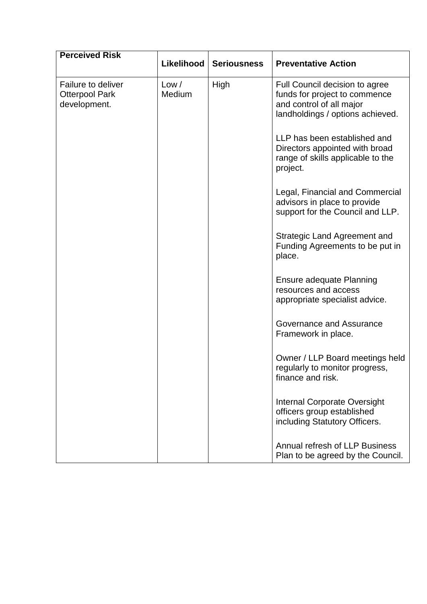| <b>Perceived Risk</b>                                       | Likelihood      | <b>Seriousness</b> | <b>Preventative Action</b>                                                                                                      |
|-------------------------------------------------------------|-----------------|--------------------|---------------------------------------------------------------------------------------------------------------------------------|
| Failure to deliver<br><b>Otterpool Park</b><br>development. | Low /<br>Medium | High               | Full Council decision to agree<br>funds for project to commence<br>and control of all major<br>landholdings / options achieved. |
|                                                             |                 |                    | LLP has been established and<br>Directors appointed with broad<br>range of skills applicable to the<br>project.                 |
|                                                             |                 |                    | Legal, Financial and Commercial<br>advisors in place to provide<br>support for the Council and LLP.                             |
|                                                             |                 |                    | <b>Strategic Land Agreement and</b><br>Funding Agreements to be put in<br>place.                                                |
|                                                             |                 |                    | Ensure adequate Planning<br>resources and access<br>appropriate specialist advice.                                              |
|                                                             |                 |                    | Governance and Assurance<br>Framework in place.                                                                                 |
|                                                             |                 |                    | Owner / LLP Board meetings held<br>regularly to monitor progress,<br>finance and risk.                                          |
|                                                             |                 |                    | Internal Corporate Oversight<br>officers group established<br>including Statutory Officers.                                     |
|                                                             |                 |                    | Annual refresh of LLP Business<br>Plan to be agreed by the Council.                                                             |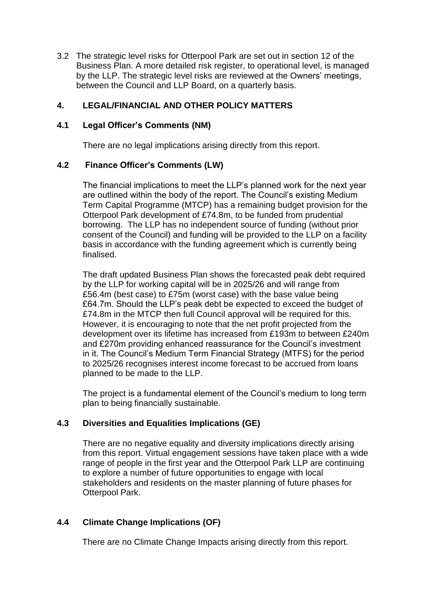3.2 The strategic level risks for Otterpool Park are set out in section 12 of the Business Plan. A more detailed risk register, to operational level, is managed by the LLP. The strategic level risks are reviewed at the Owners' meetings, between the Council and LLP Board, on a quarterly basis.

## **4. LEGAL/FINANCIAL AND OTHER POLICY MATTERS**

### **4.1 Legal Officer's Comments (NM)**

There are no legal implications arising directly from this report.

#### **4.2 Finance Officer's Comments (LW)**

The financial implications to meet the LLP's planned work for the next year are outlined within the body of the report. The Council's existing Medium Term Capital Programme (MTCP) has a remaining budget provision for the Otterpool Park development of £74.8m, to be funded from prudential borrowing. The LLP has no independent source of funding (without prior consent of the Council) and funding will be provided to the LLP on a facility basis in accordance with the funding agreement which is currently being finalised.

The draft updated Business Plan shows the forecasted peak debt required by the LLP for working capital will be in 2025/26 and will range from £56.4m (best case) to £75m (worst case) with the base value being £64.7m. Should the LLP's peak debt be expected to exceed the budget of £74.8m in the MTCP then full Council approval will be required for this. However, it is encouraging to note that the net profit projected from the development over its lifetime has increased from £193m to between £240m and £270m providing enhanced reassurance for the Council's investment in it. The Council's Medium Term Financial Strategy (MTFS) for the period to 2025/26 recognises interest income forecast to be accrued from loans planned to be made to the LLP.

The project is a fundamental element of the Council's medium to long term plan to being financially sustainable.

# **4.3 Diversities and Equalities Implications (GE)**

There are no negative equality and diversity implications directly arising from this report. Virtual engagement sessions have taken place with a wide range of people in the first year and the Otterpool Park LLP are continuing to explore a number of future opportunities to engage with local stakeholders and residents on the master planning of future phases for Otterpool Park.

# **4.4 Climate Change Implications (OF)**

There are no Climate Change Impacts arising directly from this report.